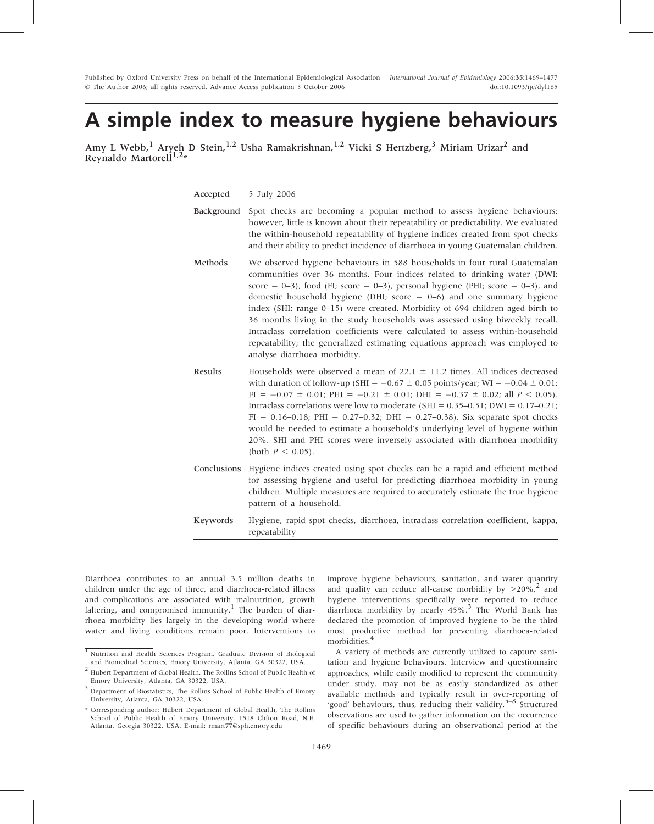# A simple index to measure hygiene behaviours

Amy L Webb,<sup>1</sup> Aryeh D Stein,<sup>1,2</sup> Usha Ramakrishnan,<sup>1,2</sup> Vicki S Hertzberg,<sup>3</sup> Miriam Urizar<sup>2</sup> and Reynaldo Martorel $1^{1,2}$ \*

Accepted 5 July 2006

|                | Background Spot checks are becoming a popular method to assess hygiene behaviours;<br>however, little is known about their repeatability or predictability. We evaluated<br>the within-household repeatability of hygiene indices created from spot checks<br>and their ability to predict incidence of diarrhoea in young Guatemalan children.                                                                                                                                                                                                                                                                                                                                                 |
|----------------|-------------------------------------------------------------------------------------------------------------------------------------------------------------------------------------------------------------------------------------------------------------------------------------------------------------------------------------------------------------------------------------------------------------------------------------------------------------------------------------------------------------------------------------------------------------------------------------------------------------------------------------------------------------------------------------------------|
| Methods        | We observed hygiene behaviours in 588 households in four rural Guatemalan<br>communities over 36 months. Four indices related to drinking water (DWI;<br>score = $0-3$ ), food (FI; score = $0-3$ ), personal hygiene (PHI; score = $0-3$ ), and<br>domestic household hygiene (DHI; score $= 0-6$ ) and one summary hygiene<br>index (SHI; range 0-15) were created. Morbidity of 694 children aged birth to<br>36 months living in the study households was assessed using biweekly recall.<br>Intraclass correlation coefficients were calculated to assess within-household<br>repeatability; the generalized estimating equations approach was employed to<br>analyse diarrhoea morbidity. |
| <b>Results</b> | Households were observed a mean of 22.1 $\pm$ 11.2 times. All indices decreased<br>with duration of follow-up (SHI = $-0.67 \pm 0.05$ points/year; WI = $-0.04 \pm 0.01$ ;<br>$FI = -0.07 \pm 0.01$ ; $PHI = -0.21 \pm 0.01$ ; $DHI = -0.37 \pm 0.02$ ; all $P \le 0.05$ ).<br>Intraclass correlations were low to moderate (SHI = $0.35-0.51$ ; DWI = $0.17-0.21$ ;<br>$FI = 0.16-0.18$ ; PHI = 0.27-0.32; DHI = 0.27-0.38). Six separate spot checks<br>would be needed to estimate a household's underlying level of hygiene within<br>20%. SHI and PHI scores were inversely associated with diarrhoea morbidity<br>(both $P < 0.05$ ).                                                     |
|                | Conclusions Hygiene indices created using spot checks can be a rapid and efficient method<br>for assessing hygiene and useful for predicting diarrhoea morbidity in young<br>children. Multiple measures are required to accurately estimate the true hygiene<br>pattern of a household.                                                                                                                                                                                                                                                                                                                                                                                                        |
| Keywords       | Hygiene, rapid spot checks, diarrhoea, intraclass correlation coefficient, kappa,<br>repeatability                                                                                                                                                                                                                                                                                                                                                                                                                                                                                                                                                                                              |

Diarrhoea contributes to an annual 3.5 million deaths in children under the age of three, and diarrhoea-related illness and complications are associated with malnutrition, growth faltering, and compromised immunity.<sup>1</sup> The burden of diarrhoea morbidity lies largely in the developing world where water and living conditions remain poor. Interventions to

improve hygiene behaviours, sanitation, and water quantity and quality can reduce all-cause morbidity by  $>20\%$ ,<sup>2</sup> and hygiene interventions specifically were reported to reduce diarrhoea morbidity by nearly  $45\%$ .<sup>3</sup> The World Bank has declared the promotion of improved hygiene to be the third most productive method for preventing diarrhoea-related morbidities.<sup>4</sup>

A variety of methods are currently utilized to capture sanitation and hygiene behaviours. Interview and questionnaire approaches, while easily modified to represent the community under study, may not be as easily standardized as other available methods and typically result in over-reporting of 'good' behaviours, thus, reducing their validity.<sup>5–8</sup> Structured observations are used to gather information on the occurrence of specific behaviours during an observational period at the

<sup>1</sup> Nutrition and Health Sciences Program, Graduate Division of Biological and Biomedical Sciences, Emory University, Atlanta, GA 30322, USA.

 $^{\rm 2}$  Hubert Department of Global Health, The Rollins School of Public Health of Emory University, Atlanta, GA 30322, USA.

<sup>3</sup> Department of Biostatistics, The Rollins School of Public Health of Emory University, Atlanta, GA 30322, USA.

<sup>\*</sup> Corresponding author: Hubert Department of Global Health, The Rollins School of Public Health of Emory University, 1518 Clifton Road, N.E. Atlanta, Georgia 30322, USA. E-mail: rmart77@sph.emory.edu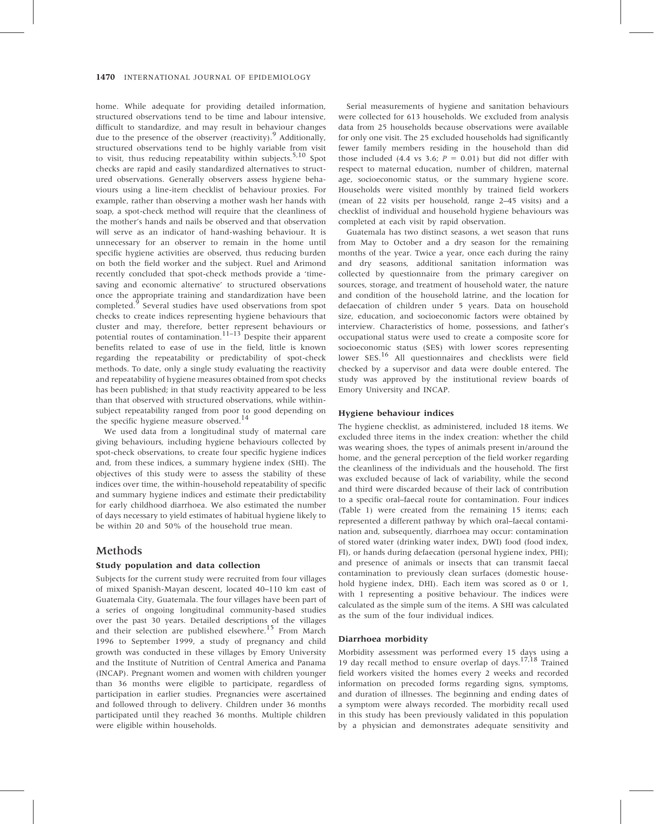home. While adequate for providing detailed information, structured observations tend to be time and labour intensive, difficult to standardize, and may result in behaviour changes due to the presence of the observer (reactivity).  $9$  Additionally, structured observations tend to be highly variable from visit to visit, thus reducing repeatability within subjects.<sup>5,10</sup> Spot checks are rapid and easily standardized alternatives to structured observations. Generally observers assess hygiene behaviours using a line-item checklist of behaviour proxies. For example, rather than observing a mother wash her hands with soap, a spot-check method will require that the cleanliness of the mother's hands and nails be observed and that observation will serve as an indicator of hand-washing behaviour. It is unnecessary for an observer to remain in the home until specific hygiene activities are observed, thus reducing burden on both the field worker and the subject. Ruel and Arimond recently concluded that spot-check methods provide a 'timesaving and economic alternative' to structured observations once the appropriate training and standardization have been completed.<sup>9</sup> Several studies have used observations from spot checks to create indices representing hygiene behaviours that cluster and may, therefore, better represent behaviours or potential routes of contamination. $11-13$  Despite their apparent benefits related to ease of use in the field, little is known regarding the repeatability or predictability of spot-check methods. To date, only a single study evaluating the reactivity and repeatability of hygiene measures obtained from spot checks has been published; in that study reactivity appeared to be less than that observed with structured observations, while withinsubject repeatability ranged from poor to good depending on the specific hygiene measure observed.<sup>14</sup>

We used data from a longitudinal study of maternal care giving behaviours, including hygiene behaviours collected by spot-check observations, to create four specific hygiene indices and, from these indices, a summary hygiene index (SHI). The objectives of this study were to assess the stability of these indices over time, the within-household repeatability of specific and summary hygiene indices and estimate their predictability for early childhood diarrhoea. We also estimated the number of days necessary to yield estimates of habitual hygiene likely to be within 20 and 50% of the household true mean.

#### Methods

#### Study population and data collection

Subjects for the current study were recruited from four villages of mixed Spanish-Mayan descent, located 40–110 km east of Guatemala City, Guatemala. The four villages have been part of a series of ongoing longitudinal community-based studies over the past 30 years. Detailed descriptions of the villages and their selection are published elsewhere.<sup>15</sup> From March 1996 to September 1999, a study of pregnancy and child growth was conducted in these villages by Emory University and the Institute of Nutrition of Central America and Panama (INCAP). Pregnant women and women with children younger than 36 months were eligible to participate, regardless of participation in earlier studies. Pregnancies were ascertained and followed through to delivery. Children under 36 months participated until they reached 36 months. Multiple children were eligible within households.

Serial measurements of hygiene and sanitation behaviours were collected for 613 households. We excluded from analysis data from 25 households because observations were available for only one visit. The 25 excluded households had significantly fewer family members residing in the household than did those included (4.4 vs 3.6;  $P = 0.01$ ) but did not differ with respect to maternal education, number of children, maternal age, socioeconomic status, or the summary hygiene score. Households were visited monthly by trained field workers (mean of 22 visits per household, range 2–45 visits) and a checklist of individual and household hygiene behaviours was completed at each visit by rapid observation.

Guatemala has two distinct seasons, a wet season that runs from May to October and a dry season for the remaining months of the year. Twice a year, once each during the rainy and dry seasons, additional sanitation information was collected by questionnaire from the primary caregiver on sources, storage, and treatment of household water, the nature and condition of the household latrine, and the location for defaecation of children under 5 years. Data on household size, education, and socioeconomic factors were obtained by interview. Characteristics of home, possessions, and father's occupational status were used to create a composite score for socioeconomic status (SES) with lower scores representing lower SES.<sup>16</sup> All questionnaires and checklists were field checked by a supervisor and data were double entered. The study was approved by the institutional review boards of Emory University and INCAP.

#### Hygiene behaviour indices

The hygiene checklist, as administered, included 18 items. We excluded three items in the index creation: whether the child was wearing shoes, the types of animals present in/around the home, and the general perception of the field worker regarding the cleanliness of the individuals and the household. The first was excluded because of lack of variability, while the second and third were discarded because of their lack of contribution to a specific oral–faecal route for contamination. Four indices (Table 1) were created from the remaining 15 items; each represented a different pathway by which oral–faecal contamination and, subsequently, diarrhoea may occur: contamination of stored water (drinking water index, DWI) food (food index, FI), or hands during defaecation (personal hygiene index, PHI); and presence of animals or insects that can transmit faecal contamination to previously clean surfaces (domestic household hygiene index, DHI). Each item was scored as 0 or 1, with 1 representing a positive behaviour. The indices were calculated as the simple sum of the items. A SHI was calculated as the sum of the four individual indices.

#### Diarrhoea morbidity

Morbidity assessment was performed every 15 days using a 19 day recall method to ensure overlap of days.17,18 Trained field workers visited the homes every 2 weeks and recorded information on precoded forms regarding signs, symptoms, and duration of illnesses. The beginning and ending dates of a symptom were always recorded. The morbidity recall used in this study has been previously validated in this population by a physician and demonstrates adequate sensitivity and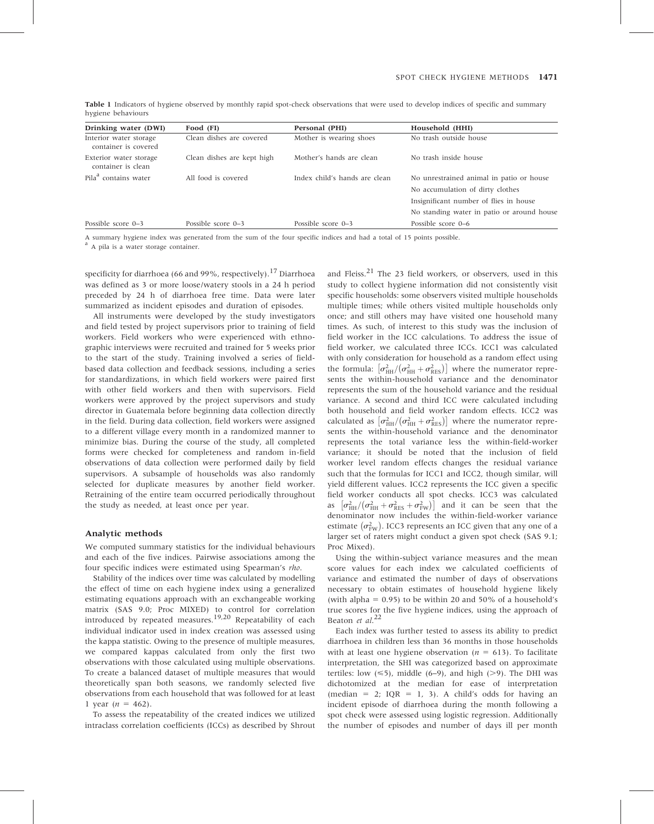Table 1 Indicators of hygiene observed by monthly rapid spot-check observations that were used to develop indices of specific and summary hygiene behaviours

| Drinking water (DWI)                           | Food (FI)                  | Personal (PHI)                | Household (HHI)                            |
|------------------------------------------------|----------------------------|-------------------------------|--------------------------------------------|
| Interior water storage<br>container is covered | Clean dishes are covered   | Mother is wearing shoes       | No trash outside house                     |
| Exterior water storage<br>container is clean   | Clean dishes are kept high | Mother's hands are clean      | No trash inside house                      |
| Pila <sup>a</sup> contains water               | All food is covered        | Index child's hands are clean | No unrestrained animal in patio or house   |
|                                                |                            |                               | No accumulation of dirty clothes           |
|                                                |                            |                               | Insignificant number of flies in house     |
|                                                |                            |                               | No standing water in patio or around house |
| Possible score 0–3                             | Possible score 0–3         | Possible score 0–3            | Possible score 0–6                         |

A summary hygiene index was generated from the sum of the four specific indices and had a total of 15 points possible.

<sup>a</sup> A pila is a water storage container.

specificity for diarrhoea (66 and 99%, respectively).<sup>17</sup> Diarrhoea was defined as 3 or more loose/watery stools in a 24 h period preceded by 24 h of diarrhoea free time. Data were later summarized as incident episodes and duration of episodes.

All instruments were developed by the study investigators and field tested by project supervisors prior to training of field workers. Field workers who were experienced with ethnographic interviews were recruited and trained for 5 weeks prior to the start of the study. Training involved a series of fieldbased data collection and feedback sessions, including a series for standardizations, in which field workers were paired first with other field workers and then with supervisors. Field workers were approved by the project supervisors and study director in Guatemala before beginning data collection directly in the field. During data collection, field workers were assigned to a different village every month in a randomized manner to minimize bias. During the course of the study, all completed forms were checked for completeness and random in-field observations of data collection were performed daily by field supervisors. A subsample of households was also randomly selected for duplicate measures by another field worker. Retraining of the entire team occurred periodically throughout the study as needed, at least once per year.

#### Analytic methods

We computed summary statistics for the individual behaviours and each of the five indices. Pairwise associations among the four specific indices were estimated using Spearman's rho.

Stability of the indices over time was calculated by modelling the effect of time on each hygiene index using a generalized estimating equations approach with an exchangeable working matrix (SAS 9.0; Proc MIXED) to control for correlation introduced by repeated measures.<sup>19,20</sup> Repeatability of each individual indicator used in index creation was assessed using the kappa statistic. Owing to the presence of multiple measures, we compared kappas calculated from only the first two observations with those calculated using multiple observations. To create a balanced dataset of multiple measures that would theoretically span both seasons, we randomly selected five observations from each household that was followed for at least 1 year ( $n = 462$ ).

To assess the repeatability of the created indices we utilized intraclass correlation coefficients (ICCs) as described by Shrout

and Fleiss.<sup>21</sup> The 23 field workers, or observers, used in this study to collect hygiene information did not consistently visit specific households: some observers visited multiple households multiple times; while others visited multiple households only once; and still others may have visited one household many times. As such, of interest to this study was the inclusion of field worker in the ICC calculations. To address the issue of field worker, we calculated three ICCs. ICC1 was calculated with only consideration for household as a random effect using the formula:  $[\sigma_{HH}^2/(\sigma_{HH}^2 + \sigma_{RES}^2)]$  where the numerator represents the within-household variance and the denominator represents the sum of the household variance and the residual variance. A second and third ICC were calculated including both household and field worker random effects. ICC2 was calculated as  $[\sigma_{\text{HH}}^2/(\sigma_{\text{HH}}^2 + \sigma_{\text{RES}}^2)]$  where the numerator represents the within-household variance and the denominator represents the total variance less the within-field-worker variance; it should be noted that the inclusion of field worker level random effects changes the residual variance such that the formulas for ICC1 and ICC2, though similar, will yield different values. ICC2 represents the ICC given a specific field worker conducts all spot checks. ICC3 was calculated as  $\left[\sigma_{HH}^2/\left(\sigma_{HH}^2+\sigma_{RES}^2+\sigma_{FW}^2\right)\right]$  and it can be seen that the denominator now includes the within-field-worker variance estimate  $(\sigma_{\text{FW}}^2)$ . ICC3 represents an ICC given that any one of a larger set of raters might conduct a given spot check (SAS 9.1; Proc Mixed).

Using the within-subject variance measures and the mean score values for each index we calculated coefficients of variance and estimated the number of days of observations necessary to obtain estimates of household hygiene likely (with alpha =  $0.95$ ) to be within 20 and 50% of a household's true scores for the five hygiene indices, using the approach of Beaton et al.<sup>22</sup>

Each index was further tested to assess its ability to predict diarrhoea in children less than 36 months in those households with at least one hygiene observation ( $n = 613$ ). To facilitate interpretation, the SHI was categorized based on approximate tertiles: low  $(\leq 5)$ , middle  $(6-9)$ , and high  $(>9)$ . The DHI was dichotomized at the median for ease of interpretation (median  $= 2$ ; IQR  $= 1$ , 3). A child's odds for having an incident episode of diarrhoea during the month following a spot check were assessed using logistic regression. Additionally the number of episodes and number of days ill per month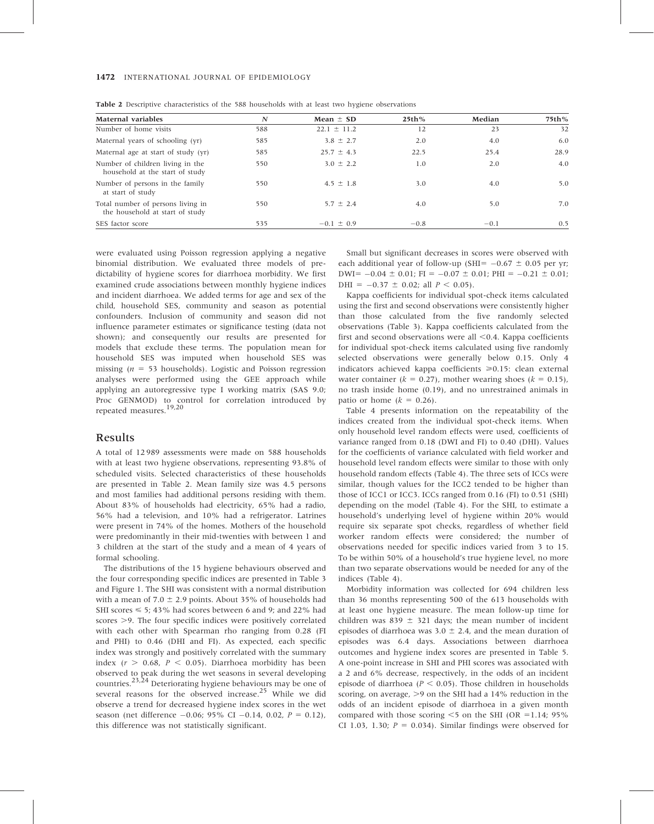| Table 2 Descriptive characteristics of the 588 households with at least two hygiene observations |  |  |  |  |  |  |
|--------------------------------------------------------------------------------------------------|--|--|--|--|--|--|
|--------------------------------------------------------------------------------------------------|--|--|--|--|--|--|

| <b>Maternal variables</b>                                            | N   | Mean $\pm$ SD   | 25th%  | Median | 75th% |
|----------------------------------------------------------------------|-----|-----------------|--------|--------|-------|
| Number of home visits                                                | 588 | $22.1 \pm 11.2$ | 12     | 23     | 32    |
| Maternal years of schooling (yr)                                     | 585 | $3.8 \pm 2.7$   | 2.0    | 4.0    | 6.0   |
| Maternal age at start of study (yr)                                  | 585 | $25.7 \pm 4.3$  | 22.5   | 25.4   | 28.9  |
| Number of children living in the<br>household at the start of study  | 550 | $3.0 \pm 2.2$   | 1.0    | 2.0    | 4.0   |
| Number of persons in the family<br>at start of study                 | 550 | $4.5 \pm 1.8$   | 3.0    | 4.0    | 5.0   |
| Total number of persons living in<br>the household at start of study | 550 | $5.7 \pm 2.4$   | 4.0    | 5.0    | 7.0   |
| SES factor score                                                     | 535 | $-0.1 \pm 0.9$  | $-0.8$ | $-0.1$ | 0.5   |

were evaluated using Poisson regression applying a negative binomial distribution. We evaluated three models of predictability of hygiene scores for diarrhoea morbidity. We first examined crude associations between monthly hygiene indices and incident diarrhoea. We added terms for age and sex of the child, household SES, community and season as potential confounders. Inclusion of community and season did not influence parameter estimates or significance testing (data not shown); and consequently our results are presented for models that exclude these terms. The population mean for household SES was imputed when household SES was missing ( $n = 53$  households). Logistic and Poisson regression analyses were performed using the GEE approach while applying an autoregressive type I working matrix (SAS 9.0; Proc GENMOD) to control for correlation introduced by repeated measures.19,20

## Results

A total of 12 989 assessments were made on 588 households with at least two hygiene observations, representing 93.8% of scheduled visits. Selected characteristics of these households are presented in Table 2. Mean family size was 4.5 persons and most families had additional persons residing with them. About 83% of households had electricity, 65% had a radio, 56% had a television, and 10% had a refrigerator. Latrines were present in 74% of the homes. Mothers of the household were predominantly in their mid-twenties with between 1 and 3 children at the start of the study and a mean of 4 years of formal schooling.

The distributions of the 15 hygiene behaviours observed and the four corresponding specific indices are presented in Table 3 and Figure 1. The SHI was consistent with a normal distribution with a mean of 7.0  $\pm$  2.9 points. About 35% of households had SHI scores < 5; 43% had scores between 6 and 9; and 22% had scores >9. The four specific indices were positively correlated with each other with Spearman rho ranging from 0.28 (FI and PHI) to 0.46 (DHI and FI). As expected, each specific index was strongly and positively correlated with the summary index ( $r > 0.68$ ,  $P < 0.05$ ). Diarrhoea morbidity has been observed to peak during the wet seasons in several developing countries.23,24 Deteriorating hygiene behaviours may be one of several reasons for the observed increase.<sup>25</sup> While we did observe a trend for decreased hygiene index scores in the wet season (net difference  $-0.06$ ; 95% CI  $-0.14$ , 0.02,  $P = 0.12$ ), this difference was not statistically significant.

Small but significant decreases in scores were observed with each additional year of follow-up (SHI=  $-0.67 \pm 0.05$  per yr; DWI=  $-0.04 \pm 0.01$ ; FI =  $-0.07 \pm 0.01$ ; PHI =  $-0.21 \pm 0.01$ ; DHI =  $-0.37 \pm 0.02$ ; all  $P < 0.05$ ).

Kappa coefficients for individual spot-check items calculated using the first and second observations were consistently higher than those calculated from the five randomly selected observations (Table 3). Kappa coefficients calculated from the first and second observations were all  $<$  0.4. Kappa coefficients for individual spot-check items calculated using five randomly selected observations were generally below 0.15. Only 4 indicators achieved kappa coefficients >0.15: clean external water container ( $k = 0.27$ ), mother wearing shoes ( $k = 0.15$ ), no trash inside home (0.19), and no unrestrained animals in patio or home  $(k = 0.26)$ .

Table 4 presents information on the repeatability of the indices created from the individual spot-check items. When only household level random effects were used, coefficients of variance ranged from 0.18 (DWI and FI) to 0.40 (DHI). Values for the coefficients of variance calculated with field worker and household level random effects were similar to those with only household random effects (Table 4). The three sets of ICCs were similar, though values for the ICC2 tended to be higher than those of ICC1 or ICC3. ICCs ranged from 0.16 (FI) to 0.51 (SHI) depending on the model (Table 4). For the SHI, to estimate a household's underlying level of hygiene within 20% would require six separate spot checks, regardless of whether field worker random effects were considered; the number of observations needed for specific indices varied from 3 to 15. To be within 50% of a household's true hygiene level, no more than two separate observations would be needed for any of the indices (Table 4).

Morbidity information was collected for 694 children less than 36 months representing 500 of the 613 households with at least one hygiene measure. The mean follow-up time for children was 839  $\pm$  321 days; the mean number of incident episodes of diarrhoea was  $3.0 \pm 2.4$ , and the mean duration of episodes was 6.4 days. Associations between diarrhoea outcomes and hygiene index scores are presented in Table 5. A one-point increase in SHI and PHI scores was associated with a 2 and 6% decrease, respectively, in the odds of an incident episode of diarrhoea ( $P < 0.05$ ). Those children in households scoring, on average,  $>9$  on the SHI had a 14% reduction in the odds of an incident episode of diarrhoea in a given month compared with those scoring  $\leq$  5 on the SHI (OR =1.14; 95%) CI 1.03, 1.30;  $P = 0.034$ ). Similar findings were observed for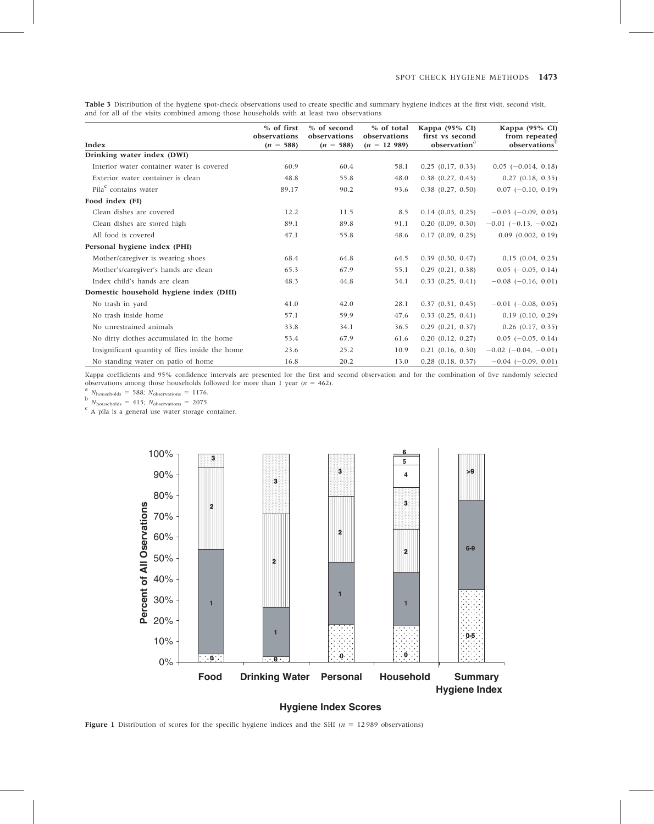Table 3 Distribution of the hygiene spot-check observations used to create specific and summary hygiene indices at the first visit, second visit, and for all of the visits combined among those households with at least two observations

|                                                 | % of first<br>observations | % of second<br>observations | % of total<br>observations | Kappa (95% CI)<br>first vs second | Kappa (95% CI)<br>from repeated |
|-------------------------------------------------|----------------------------|-----------------------------|----------------------------|-----------------------------------|---------------------------------|
| Index                                           | $(n = 588)$                | $(n = 588)$                 | $(n = 12989)$              | observation <sup>a</sup>          | observations <sup>'</sup>       |
| Drinking water index (DWI)                      |                            |                             |                            |                                   |                                 |
| Interior water container water is covered       | 60.9                       | 60.4                        | 58.1                       | $0.25$ $(0.17, 0.33)$             | $0.05$ (-0.014, 0.18)           |
| Exterior water container is clean               | 48.8                       | 55.8                        | 48.0                       | $0.38$ $(0.27, 0.43)$             | $0.27$ $(0.18, 0.35)$           |
| Pila <sup>c</sup> contains water                | 89.17                      | 90.2                        | 93.6                       | $0.38$ $(0.27, 0.50)$             | $0.07$ (-0.10, 0.19)            |
| Food index (FI)                                 |                            |                             |                            |                                   |                                 |
| Clean dishes are covered                        | 12.2                       | 11.5                        | 8.5                        | $0.14$ $(0.03, 0.25)$             | $-0.03$ ( $-0.09$ , 0.03)       |
| Clean dishes are stored high                    | 89.1                       | 89.8                        | 91.1                       | 0.20(0.09, 0.30)                  | $-0.01$ $(-0.13, -0.02)$        |
| All food is covered                             | 47.1                       | 55.8                        | 48.6                       | $0.17$ $(0.09, 0.25)$             | $0.09$ $(0.002, 0.19)$          |
| Personal hygiene index (PHI)                    |                            |                             |                            |                                   |                                 |
| Mother/caregiver is wearing shoes               | 68.4                       | 64.8                        | 64.5                       | $0.39$ $(0.30, 0.47)$             | $0.15$ $(0.04, 0.25)$           |
| Mother's/caregiver's hands are clean            | 65.3                       | 67.9                        | 55.1                       | $0.29$ $(0.21, 0.38)$             | $0.05$ (-0.05, 0.14)            |
| Index child's hands are clean                   | 48.3                       | 44.8                        | 34.1                       | $0.33$ $(0.25, 0.41)$             | $-0.08$ ( $-0.16$ , 0.01)       |
| Domestic household hygiene index (DHI)          |                            |                             |                            |                                   |                                 |
| No trash in yard                                | 41.0                       | 42.0                        | 28.1                       | $0.37$ $(0.31, 0.45)$             | $-0.01$ $(-0.08, 0.05)$         |
| No trash inside home                            | 57.1                       | 59.9                        | 47.6                       | $0.33$ $(0.25, 0.41)$             | 0.19(0.10, 0.29)                |
| No unrestrained animals                         | 33.8                       | 34.1                        | 36.5                       | $0.29$ $(0.21, 0.37)$             | $0.26$ (0.17, 0.35)             |
| No dirty clothes accumulated in the home        | 53.4                       | 67.9                        | 61.6                       | $0.20$ $(0.12, 0.27)$             | $0.05$ (-0.05, 0.14)            |
| Insignificant quantity of flies inside the home | 23.6                       | 25.2                        | 10.9                       | $0.21$ $(0.16, 0.30)$             | $-0.02$ ( $-0.04$ , $-0.01$ )   |
| No standing water on patio of home              | 16.8                       | 20.2                        | 13.0                       | $0.28$ $(0.18, 0.37)$             | $-0.04$ $(-0.09, 0.01)$         |

Kappa coefficients and 95% confidence intervals are presented for the first and second observation and for the combination of five randomly selected observations among those households followed for more than 1 year ( $n = 4$ 

 $N_{\text{households}} = 588; N_{\text{observations}} = 1176.$ <br>  $N_{\text{households}} = 415; N_{\text{observations}} = 2075.$ <br>
c A pila is a general use water storage container.



## **Hygiene Index Scores**

**Figure 1** Distribution of scores for the specific hygiene indices and the SHI ( $n = 12989$  observations)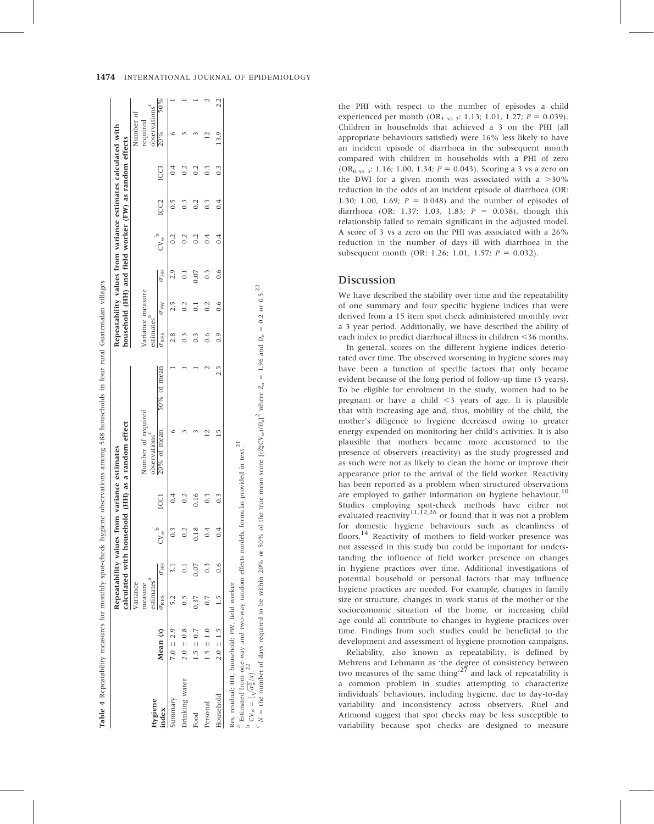|                |               |                    |                   | Repeatability values from      |             | calculated with household (HH) as a random effect<br>variance estimates |             |                        |                   |                   | Repeatability values from variance estimates calculated with<br>household (HH) and field worker (FW) as random effects |                  |                  |              |     |
|----------------|---------------|--------------------|-------------------|--------------------------------|-------------|-------------------------------------------------------------------------|-------------|------------------------|-------------------|-------------------|------------------------------------------------------------------------------------------------------------------------|------------------|------------------|--------------|-----|
|                |               | Variance           |                   |                                |             |                                                                         |             |                        |                   |                   |                                                                                                                        |                  |                  | Number of    |     |
|                |               | measure            |                   |                                |             | Number of required                                                      |             |                        | Variance measure  |                   |                                                                                                                        |                  |                  | required     |     |
| Hygiene        |               | estimates          |                   |                                |             | observations'                                                           |             | estimates <sup>a</sup> |                   |                   |                                                                                                                        |                  |                  | observations |     |
| index          | Mean $(x)$    | $\sigma_{\rm RES}$ | $\sigma_{\rm HH}$ | $CV_{\mathbf{w}}^{\mathbf{b}}$ | <b>ICC1</b> | $20\%$ of mean                                                          | 50% of mean | $\sigma_{RES}$         | $\sigma_{\rm FW}$ | $\sigma_{\rm HH}$ | $CV_{\mathbf{w}}^{\mathbf{b}}$                                                                                         | ICC2             | ICC3             | 20%          | 50% |
| Summary        | 7.0 $\pm$ 2.9 |                    |                   |                                | 0.4         |                                                                         |             | 2.8                    | 2.5               | 2.9               |                                                                                                                        | 0.5              |                  |              |     |
| Drinking water | $2.0 \pm 0.8$ |                    |                   |                                | 0.2         |                                                                         |             | 0.3                    | 0.2               | $\Xi$             | 0.2                                                                                                                    | 0.3              | $\sim$           |              |     |
| Food           | $1.5 \pm 0.7$ | 0.37               |                   |                                | 0.16        |                                                                         |             | ე<br>ე                 |                   | 0.07              | 0.2                                                                                                                    | 0.2              | 0.2              |              |     |
| Personal       | $1.5 \pm 1.0$ |                    | $\ddot{0}$        | 0.4                            | $\degree$   |                                                                         |             | 0.6                    | 0.2               | $0.\overline{3}$  | 0.4                                                                                                                    | $0.\overline{3}$ | $\ddot{0}$       |              |     |
| Household      | $2.0 \pm 1.5$ | $\overline{1}$     | 0.6               |                                | $\odot$     |                                                                         | 2.5         | 0.9                    | 0.6               | 0.6               | 0.4                                                                                                                    | 0.4              | $0.\overline{3}$ | 13.9         |     |

 $\mathbf{C}\mathbf{V}_{\mathbf{w}}=(\sqrt{\sigma_{w}^{2}}/\mathbf{x})$ 

c

 $\geq$ 

 $^{\circ}$ 

 $N =$  the number of days required to be within 20% or 50% of the true mean score [(Z\*

 $_{\alpha}^{*}\text{CV}_{\text{vv}}/D_{\text{o}}$ [ $(Z^*_{\alpha}CV_w)/D_0$ ]<sup> $\angle$ </sup> where  $Z_{\alpha}$ 

score

mean

of the true

or  $50\%$ 

where  $Z_{\alpha} = 1.96$  and

= 1.96 and  $D_0$ 

 $D_{\rm o} = 0.2$  or 0.5.<sup>22</sup>

 $=$  0.2 or 0.5.  $^{22}$ 

the PHI with respect to the number of episodes a child experienced per month (OR<sub>1 vs</sub> 3: 1.13; 1.01, 1.27;  $P = 0.039$ ). Children in households that achieved a 3 on the PHI (all appropriate behaviours satisfied) were 16% less likely to have an incident episode of diarrhoea in the subsequent month compared with children in households with a PHI of zero (OR<sub>0 vs 3</sub>: 1.16; 1.00, 1.34;  $P = 0.043$ ). Scoring a 3 vs a zero on the DWI for a given month was associated with a  $>30\%$ reduction in the odds of an incident episode of diarrhoea (OR: 1.30; 1.00, 1.69;  $P = 0.048$ ) and the number of episodes of diarrhoea (OR: 1.37; 1.03, 1.83;  $P = 0.038$ ), though this relationship failed to remain significant in the adjusted model. A score of 3 vs a zero on the PHI was associated with a 26% reduction in the number of days ill with diarrhoea in the subsequent month (OR: 1.26; 1.01, 1.57;  $P = 0.032$ ).

## Discussion

We have described the stability over time and the repeatability of one summary and four specific hygiene indices that were derived from a 15 item spot check administered monthly over a 3 year period. Additionally, we have described the ability of each index to predict diarrhoeal illness in children <36 months.

In general, scores on the different hygiene indices deteriorated over time. The observed worsening in hygiene scores may have been a function of specific factors that only became evident because of the long period of follow-up time (3 years). To be eligible for enrolment in the study, women had to be pregnant or have a child  $\leq$ 3 years of age. It is plausible that with increasing age and, thus, mobility of the child, the mother's diligence to hygiene decreased owing to greater energy expended on monitoring her child's activities. It is also plausible that mothers became more accustomed to the presence of observers (reactivity) as the study progressed and as such were not as likely to clean the home or improve their appearance prior to the arrival of the field worker. Reactivity has been reported as a problem when structured observations are employed to gather information on hygiene behaviour.<sup>10</sup> Studies employing spot-check methods have either not evaluated reactivity<sup>11,12,26</sup> or found that it was not a problem for domestic hygiene behaviours such as cleanliness of floors.14 Reactivity of mothers to field-worker presence was not assessed in this study but could be important for understanding the influence of field worker presence on changes in hygiene practices over time. Additional investigations of potential household or personal factors that may influence hygiene practices are needed. For example, changes in family size or structure, changes in work status of the mother or the socioeconomic situation of the home, or increasing child age could all contribute to changes in hygiene practices over time. Findings from such studies could be beneficial to the development and assessment of hygiene promotion campaigns.

Reliability, also known as repeatability, is defined by Mehrens and Lehmann as 'the degree of consistency between two measures of the same thing'<sup>27</sup> and lack of repeatability is a common problem in studies attempting to characterize individuals' behaviours, including hygiene, due to day-to-day variability and inconsistency across observers. Ruel and Arimond suggest that spot checks may be less susceptible to variability because spot checks are designed to measure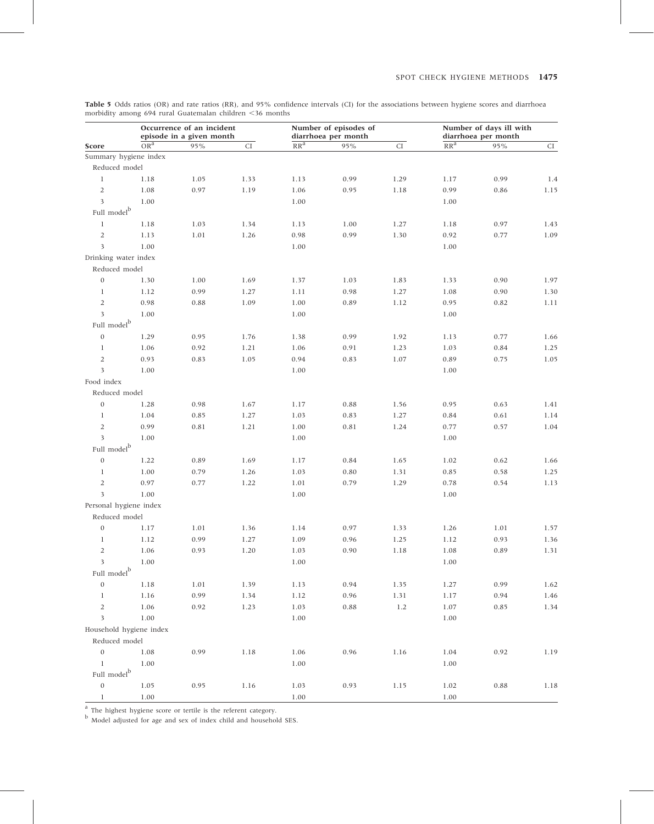| <b>Table 5</b> Odds ratios (OR) and rate ratios (RR), and 95% confidence intervals (CI) for the associations between hygiene scores and diarrhoea |  |  |  |  |  |  |  |
|---------------------------------------------------------------------------------------------------------------------------------------------------|--|--|--|--|--|--|--|
| morbidity among 694 rural Guatemalan children <36 months                                                                                          |  |  |  |  |  |  |  |

|                                          |                         | Occurrence of an incident<br>episode in a given month |                       |                 | Number of episodes of<br>diarrhoea per month |                     |                 | Number of days ill with<br>diarrhoea per month |          |
|------------------------------------------|-------------------------|-------------------------------------------------------|-----------------------|-----------------|----------------------------------------------|---------------------|-----------------|------------------------------------------------|----------|
| Score                                    | OR <sup>a</sup>         | 95%                                                   | $\overline{{\rm CI}}$ | RR <sup>a</sup> | 95%                                          | $\operatorname{CI}$ | RR <sup>a</sup> | 95%                                            | CI       |
|                                          | Summary hygiene index   |                                                       |                       |                 |                                              |                     |                 |                                                |          |
| Reduced model                            |                         |                                                       |                       |                 |                                              |                     |                 |                                                |          |
| 1                                        | 1.18                    | 1.05                                                  | 1.33                  | 1.13            | 0.99                                         | 1.29                | 1.17            | 0.99                                           | 1.4      |
| $\overline{c}$                           | 1.08                    | 0.97                                                  | 1.19                  | 1.06            | 0.95                                         | 1.18                | 0.99            | 0.86                                           | 1.15     |
| $\overline{\mathbf{3}}$                  | 1.00                    |                                                       |                       | 1.00            |                                              |                     | 1.00            |                                                |          |
| Full model <sup>b</sup>                  |                         |                                                       |                       |                 |                                              |                     |                 |                                                |          |
| $\mathbf{1}$                             | 1.18                    | 1.03                                                  | 1.34                  | 1.13            | 1.00                                         | 1.27                | 1.18            | 0.97                                           | 1.43     |
| $\overline{2}$                           | 1.13                    | 1.01                                                  | 1.26                  | 0.98            | 0.99                                         | 1.30                | 0.92            | 0.77                                           | 1.09     |
| 3                                        | 1.00                    |                                                       |                       | 1.00            |                                              |                     | 1.00            |                                                |          |
| Drinking water index                     |                         |                                                       |                       |                 |                                              |                     |                 |                                                |          |
| Reduced model                            |                         |                                                       |                       |                 |                                              |                     |                 |                                                |          |
| $\boldsymbol{0}$                         | 1.30                    | 1.00                                                  | 1.69                  | 1.37            | 1.03                                         | 1.83                | 1.33            | 0.90                                           | 1.97     |
| $\mathbf l$                              | 1.12                    | 0.99                                                  | 1.27                  | 1.11            | 0.98                                         | 1.27                | 1.08            | 0.90                                           | 1.30     |
| $\overline{2}$                           | 0.98                    | 0.88                                                  | 1.09                  | 1.00            | 0.89                                         | 1.12                | 0.95            | 0.82                                           | 1.11     |
| 3                                        | 1.00                    |                                                       |                       | 1.00            |                                              |                     | 1.00            |                                                |          |
| $\mbox{{\sc Full}}~\mbox{{\rm model}}^b$ |                         |                                                       |                       |                 |                                              |                     |                 |                                                |          |
| $\mathbf{0}$                             | 1.29                    | 0.95                                                  | 1.76                  | 1.38            | 0.99                                         | 1.92                | 1.13            | 0.77                                           | 1.66     |
| $\mathbf{1}$                             | 1.06                    | 0.92                                                  | 1.21                  | 1.06            | 0.91                                         | 1.23                | 1.03            | 0.84                                           | 1.25     |
| $\overline{2}$                           | 0.93                    | 0.83                                                  | 1.05                  | 0.94            | 0.83                                         | 1.07                | 0.89            | 0.75                                           | 1.05     |
| $\overline{\mathbf{3}}$                  | 1.00                    |                                                       |                       | 1.00            |                                              |                     | 1.00            |                                                |          |
| Food index                               |                         |                                                       |                       |                 |                                              |                     |                 |                                                |          |
| Reduced model                            |                         |                                                       |                       |                 |                                              |                     |                 |                                                |          |
| $\mathbf{0}$                             | 1.28                    | 0.98                                                  | 1.67                  | 1.17            | 0.88                                         | 1.56                | 0.95            | 0.63                                           | 1.41     |
| $\mathbf{1}$                             | 1.04                    | 0.85                                                  | 1.27                  | 1.03            | 0.83                                         | 1.27                | 0.84            | 0.61                                           | 1.14     |
| $\overline{c}$                           | 0.99                    | 0.81                                                  | 1.21                  | 1.00            | 0.81                                         | 1.24                | 0.77            | 0.57                                           | 1.04     |
| $\overline{\mathbf{3}}$                  | 1.00                    |                                                       |                       | 1.00            |                                              |                     | 1.00            |                                                |          |
| Full model <sup>b</sup>                  |                         |                                                       |                       |                 |                                              |                     |                 |                                                |          |
| $\boldsymbol{0}$                         | 1.22                    | 0.89                                                  | 1.69                  | 1.17            | 0.84                                         | 1.65                | 1.02            | 0.62                                           | 1.66     |
| 1                                        | 1.00                    | 0.79                                                  | 1.26                  | 1.03            | 0.80                                         | 1.31                | 0.85            | 0.58                                           | 1.25     |
| $\sqrt{2}$                               | 0.97                    | 0.77                                                  | 1.22                  | 1.01            | 0.79                                         | 1.29                | 0.78            | 0.54                                           | 1.13     |
| $\overline{\mathbf{3}}$                  | 1.00                    |                                                       |                       | 1.00            |                                              |                     | 1.00            |                                                |          |
| Personal hygiene index                   |                         |                                                       |                       |                 |                                              |                     |                 |                                                |          |
| Reduced model                            |                         |                                                       |                       |                 |                                              |                     |                 |                                                |          |
| $\mathbf{0}$                             | 1.17                    | 1.01                                                  | 1.36                  | 1.14            | 0.97                                         | 1.33                | 1.26            | 1.01                                           | 1.57     |
| 1                                        | 1.12                    | 0.99                                                  | 1.27                  | 1.09            | 0.96                                         | 1.25                | 1.12            | 0.93                                           | 1.36     |
| $\overline{2}$                           | 1.06                    | 0.93                                                  | $1.20\,$              | $1.03\,$        | $0.90\,$                                     | $1.18\,$            | $1.08\,$        | $0.89\,$                                       | $1.31\,$ |
| $\overline{\mathbf{3}}$                  | 1.00                    |                                                       |                       | 1.00            |                                              |                     | 1.00            |                                                |          |
| Full model <sup>b</sup>                  |                         |                                                       |                       |                 |                                              |                     |                 |                                                |          |
| $\boldsymbol{0}$                         | 1.18                    | 1.01                                                  | 1.39                  | 1.13            | 0.94                                         | 1.35                | 1.27            | 0.99                                           | 1.62     |
| $\mathbf{1}$                             | 1.16                    | 0.99                                                  | 1.34                  | 1.12            | 0.96                                         | 1.31                | 1.17            | 0.94                                           | 1.46     |
| $\overline{2}$                           | 1.06                    | 0.92                                                  | 1.23                  | 1.03            | 0.88                                         | $1.2\,$             | 1.07            | 0.85                                           | 1.34     |
| $\overline{\mathbf{3}}$                  | 1.00                    |                                                       |                       | 1.00            |                                              |                     | 1.00            |                                                |          |
|                                          | Household hygiene index |                                                       |                       |                 |                                              |                     |                 |                                                |          |
| Reduced model                            |                         |                                                       |                       |                 |                                              |                     |                 |                                                |          |
| $\boldsymbol{0}$                         | 1.08                    | 0.99                                                  | 1.18                  | 1.06            | 0.96                                         | $1.16\,$            | 1.04            | 0.92                                           | 1.19     |
| $\mathbf{1}$                             | 1.00                    |                                                       |                       | 1.00            |                                              |                     | 1.00            |                                                |          |
| Full model <sup>b</sup>                  |                         |                                                       |                       |                 |                                              |                     |                 |                                                |          |
| $\boldsymbol{0}$                         | 1.05                    | 0.95                                                  | $1.16$                | 1.03            | 0.93                                         | 1.15                | 1.02            | 0.88                                           | 1.18     |
| 1                                        | 1.00                    |                                                       |                       | 1.00            |                                              |                     | 1.00            |                                                |          |

<sup>a</sup> The highest hygiene score or tertile is the referent category. <sup>b</sup> Model adjusted for age and sex of index child and household SES.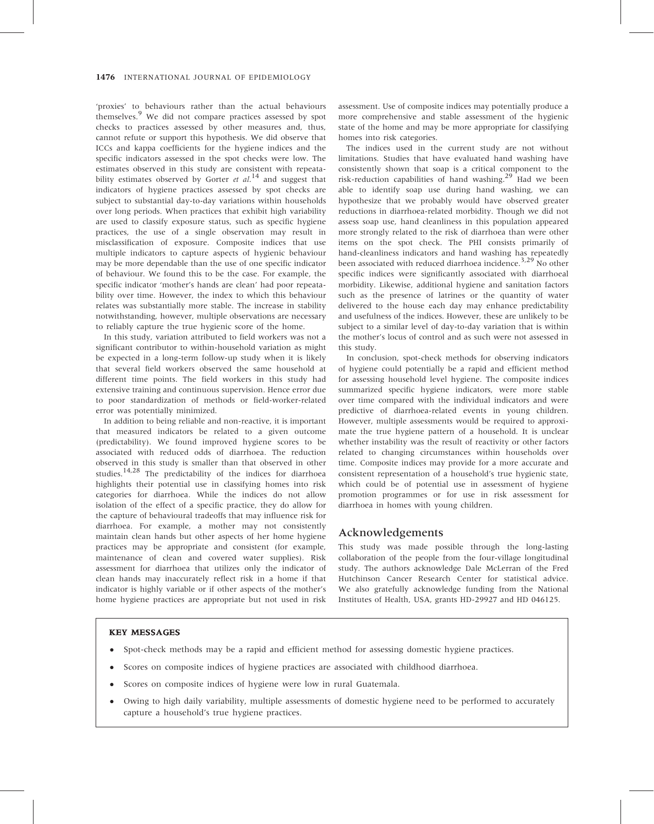'proxies' to behaviours rather than the actual behaviours themselves.<sup>9</sup> We did not compare practices assessed by spot checks to practices assessed by other measures and, thus, cannot refute or support this hypothesis. We did observe that ICCs and kappa coefficients for the hygiene indices and the specific indicators assessed in the spot checks were low. The estimates observed in this study are consistent with repeatability estimates observed by Gorter et  $al$ <sup>14</sup> and suggest that indicators of hygiene practices assessed by spot checks are subject to substantial day-to-day variations within households over long periods. When practices that exhibit high variability are used to classify exposure status, such as specific hygiene practices, the use of a single observation may result in misclassification of exposure. Composite indices that use multiple indicators to capture aspects of hygienic behaviour may be more dependable than the use of one specific indicator of behaviour. We found this to be the case. For example, the specific indicator 'mother's hands are clean' had poor repeatability over time. However, the index to which this behaviour relates was substantially more stable. The increase in stability notwithstanding, however, multiple observations are necessary to reliably capture the true hygienic score of the home.

In this study, variation attributed to field workers was not a significant contributor to within-household variation as might be expected in a long-term follow-up study when it is likely that several field workers observed the same household at different time points. The field workers in this study had extensive training and continuous supervision. Hence error due to poor standardization of methods or field-worker-related error was potentially minimized.

In addition to being reliable and non-reactive, it is important that measured indicators be related to a given outcome (predictability). We found improved hygiene scores to be associated with reduced odds of diarrhoea. The reduction observed in this study is smaller than that observed in other studies.<sup>14,28</sup> The predictability of the indices for diarrhoea highlights their potential use in classifying homes into risk categories for diarrhoea. While the indices do not allow isolation of the effect of a specific practice, they do allow for the capture of behavioural tradeoffs that may influence risk for diarrhoea. For example, a mother may not consistently maintain clean hands but other aspects of her home hygiene practices may be appropriate and consistent (for example, maintenance of clean and covered water supplies). Risk assessment for diarrhoea that utilizes only the indicator of clean hands may inaccurately reflect risk in a home if that indicator is highly variable or if other aspects of the mother's home hygiene practices are appropriate but not used in risk

assessment. Use of composite indices may potentially produce a more comprehensive and stable assessment of the hygienic state of the home and may be more appropriate for classifying homes into risk categories.

The indices used in the current study are not without limitations. Studies that have evaluated hand washing have consistently shown that soap is a critical component to the risk-reduction capabilities of hand washing.<sup>29</sup> Had we been able to identify soap use during hand washing, we can hypothesize that we probably would have observed greater reductions in diarrhoea-related morbidity. Though we did not assess soap use, hand cleanliness in this population appeared more strongly related to the risk of diarrhoea than were other items on the spot check. The PHI consists primarily of hand-cleanliness indicators and hand washing has repeatedly been associated with reduced diarrhoea incidence.<sup>3,29</sup> No other specific indices were significantly associated with diarrhoeal morbidity. Likewise, additional hygiene and sanitation factors such as the presence of latrines or the quantity of water delivered to the house each day may enhance predictability and usefulness of the indices. However, these are unlikely to be subject to a similar level of day-to-day variation that is within the mother's locus of control and as such were not assessed in this study.

In conclusion, spot-check methods for observing indicators of hygiene could potentially be a rapid and efficient method for assessing household level hygiene. The composite indices summarized specific hygiene indicators, were more stable over time compared with the individual indicators and were predictive of diarrhoea-related events in young children. However, multiple assessments would be required to approximate the true hygiene pattern of a household. It is unclear whether instability was the result of reactivity or other factors related to changing circumstances within households over time. Composite indices may provide for a more accurate and consistent representation of a household's true hygienic state, which could be of potential use in assessment of hygiene promotion programmes or for use in risk assessment for diarrhoea in homes with young children.

## Acknowledgements

This study was made possible through the long-lasting collaboration of the people from the four-village longitudinal study. The authors acknowledge Dale McLerran of the Fred Hutchinson Cancer Research Center for statistical advice. We also gratefully acknowledge funding from the National Institutes of Health, USA, grants HD-29927 and HD 046125.

#### KEY MESSAGES

- $\bullet$ Spot-check methods may be a rapid and efficient method for assessing domestic hygiene practices.
- $\bullet$ Scores on composite indices of hygiene practices are associated with childhood diarrhoea.
- $\bullet$ Scores on composite indices of hygiene were low in rural Guatemala.
- $\bullet$  Owing to high daily variability, multiple assessments of domestic hygiene need to be performed to accurately capture a household's true hygiene practices.